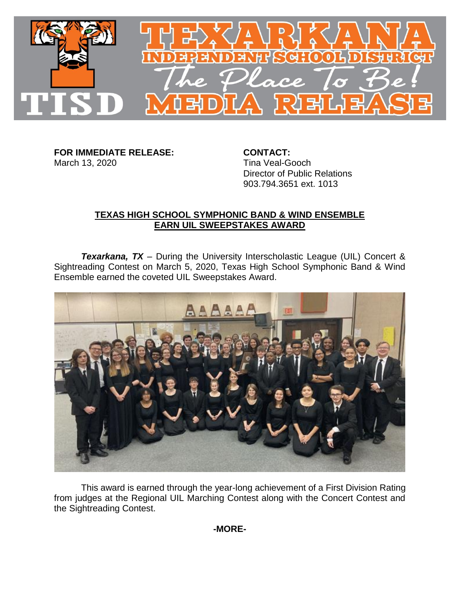

**FOR IMMEDIATE RELEASE: CONTACT:** March 13, 2020 **Tina Veal-Gooch** 

Director of Public Relations 903.794.3651 ext. 1013

## **TEXAS HIGH SCHOOL SYMPHONIC BAND & WIND ENSEMBLE EARN UIL SWEEPSTAKES AWARD**

**Texarkana, TX** – During the University Interscholastic League (UIL) Concert & Sightreading Contest on March 5, 2020, Texas High School Symphonic Band & Wind Ensemble earned the coveted UIL Sweepstakes Award.



This award is earned through the year-long achievement of a First Division Rating from judges at the Regional UIL Marching Contest along with the Concert Contest and the Sightreading Contest.

**-MORE-**